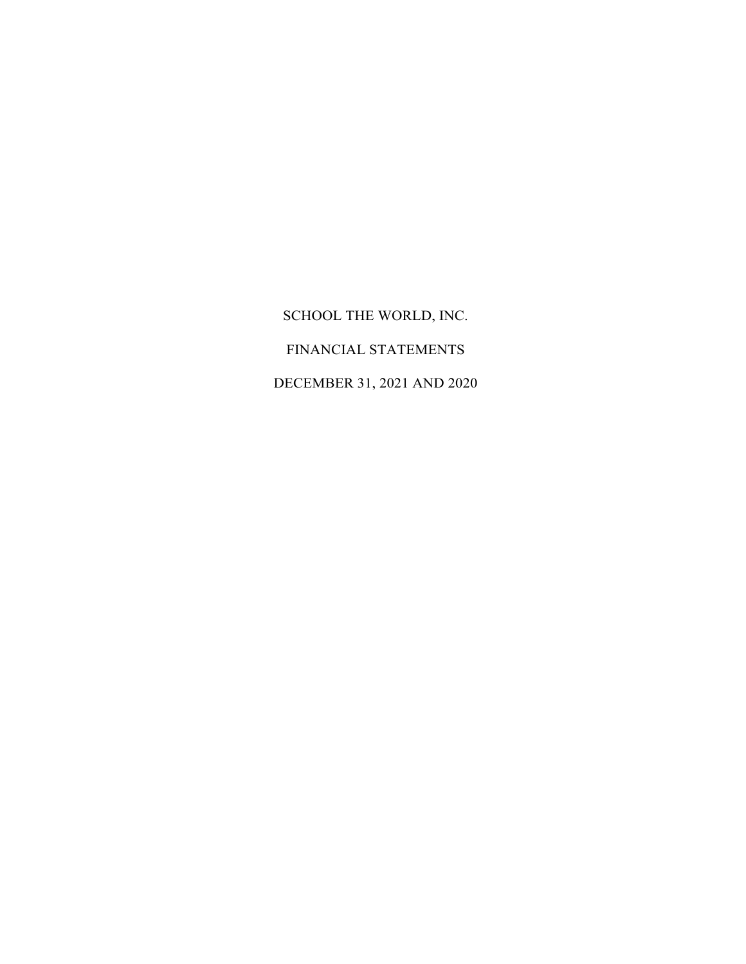SCHOOL THE WORLD, INC. FINANCIAL STATEMENTS DECEMBER 31, 2021 AND 2020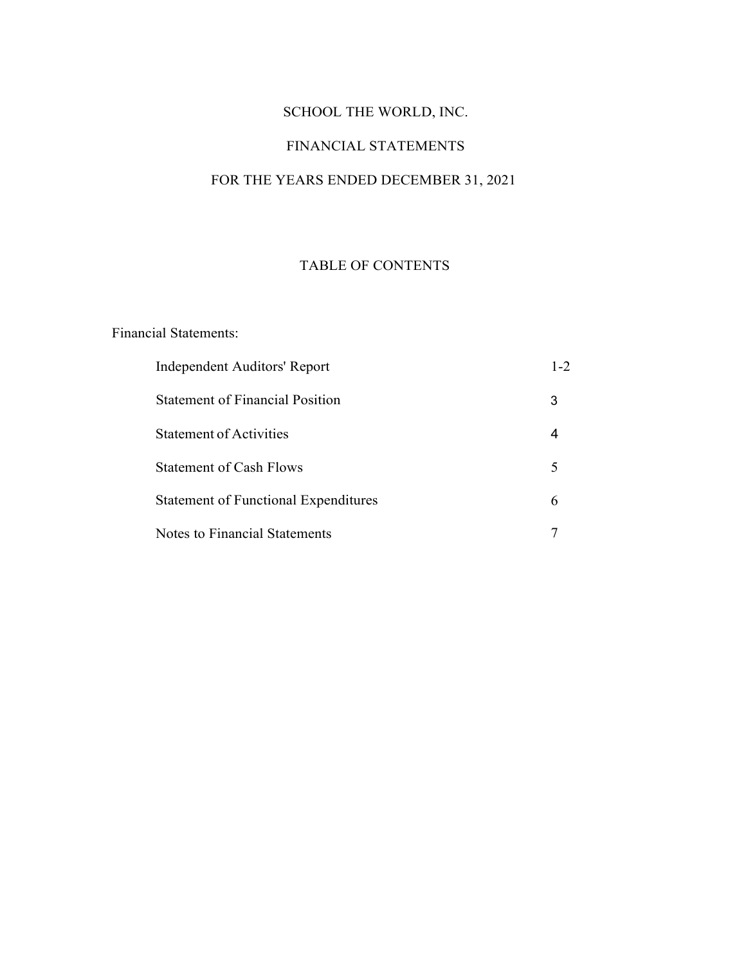## SCHOOL THE WORLD, INC.

#### FINANCIAL STATEMENTS

### FOR THE YEARS ENDED DECEMBER 31, 2021

### TABLE OF CONTENTS

#### Financial Statements:

| Independent Auditors' Report                | $1 - 2$ |
|---------------------------------------------|---------|
| <b>Statement of Financial Position</b>      | З       |
| Statement of Activities                     |         |
| <b>Statement of Cash Flows</b>              |         |
| <b>Statement of Functional Expenditures</b> | 6       |
| Notes to Financial Statements               |         |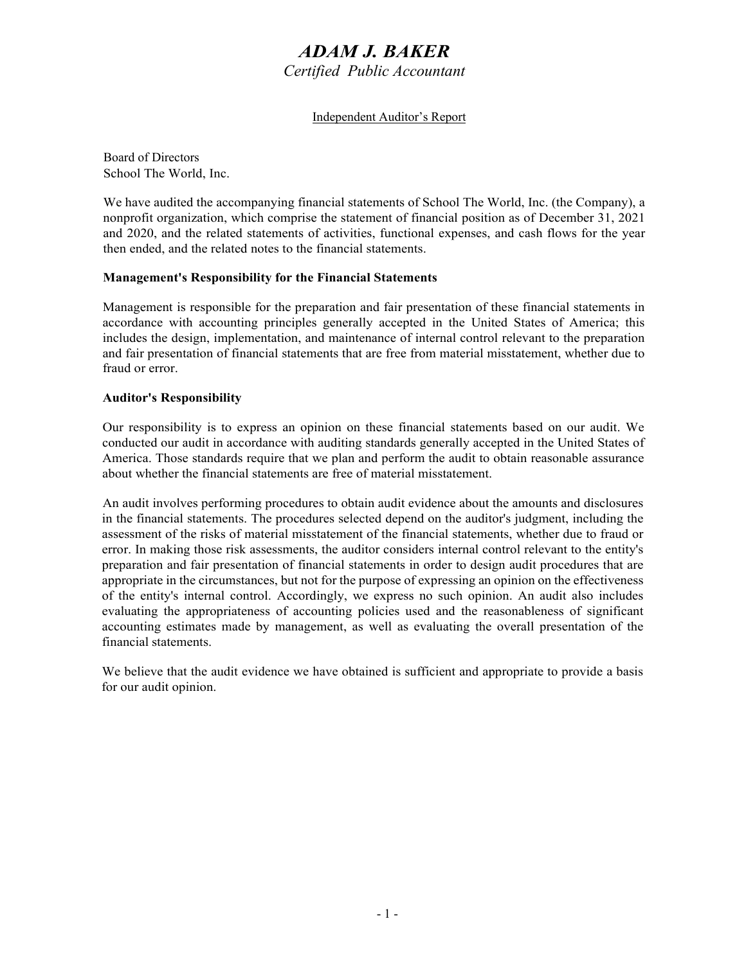# *ADAM J. BAKER*

*Certified Public Accountant*

#### Independent Auditor's Report

Board of Directors School The World, Inc.

We have audited the accompanying financial statements of School The World, Inc. (the Company), a nonprofit organization, which comprise the statement of financial position as of December 31, 2021 and 2020, and the related statements of activities, functional expenses, and cash flows for the year then ended, and the related notes to the financial statements.

#### **Management's Responsibility for the Financial Statements**

Management is responsible for the preparation and fair presentation of these financial statements in accordance with accounting principles generally accepted in the United States of America; this includes the design, implementation, and maintenance of internal control relevant to the preparation and fair presentation of financial statements that are free from material misstatement, whether due to fraud or error.

#### **Auditor's Responsibility**

Our responsibility is to express an opinion on these financial statements based on our audit. We conducted our audit in accordance with auditing standards generally accepted in the United States of America. Those standards require that we plan and perform the audit to obtain reasonable assurance about whether the financial statements are free of material misstatement.

An audit involves performing procedures to obtain audit evidence about the amounts and disclosures in the financial statements. The procedures selected depend on the auditor's judgment, including the assessment of the risks of material misstatement of the financial statements, whether due to fraud or error. In making those risk assessments, the auditor considers internal control relevant to the entity's preparation and fair presentation of financial statements in order to design audit procedures that are appropriate in the circumstances, but not for the purpose of expressing an opinion on the effectiveness of the entity's internal control. Accordingly, we express no such opinion. An audit also includes evaluating the appropriateness of accounting policies used and the reasonableness of significant accounting estimates made by management, as well as evaluating the overall presentation of the financial statements.

We believe that the audit evidence we have obtained is sufficient and appropriate to provide a basis for our audit opinion.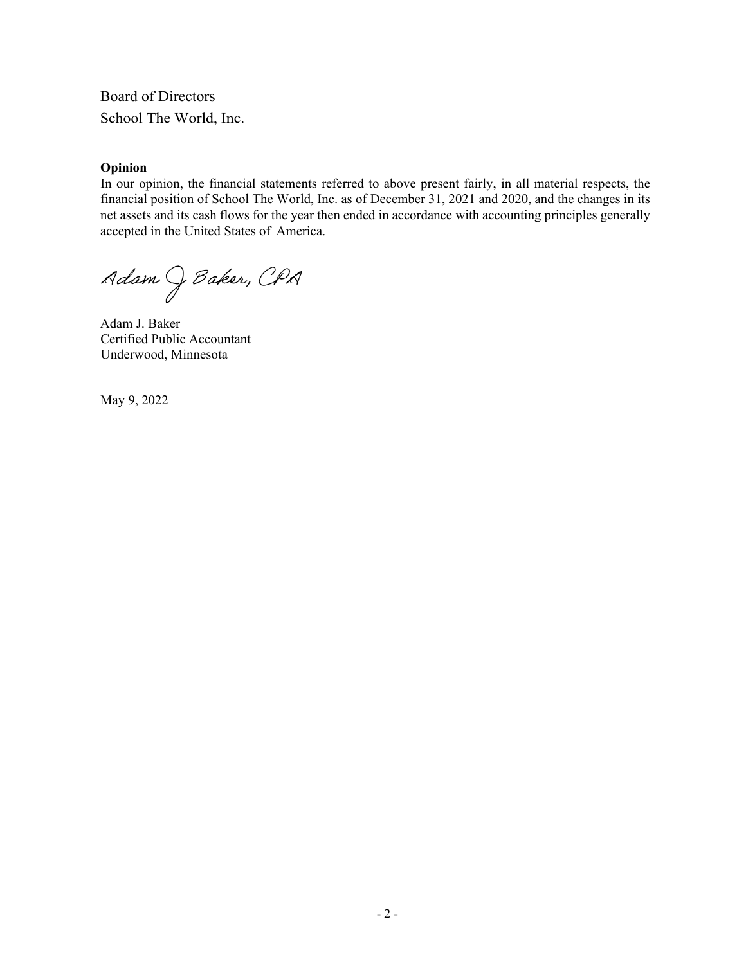Board of Directors School The World, Inc.

#### **Opinion**

In our opinion, the financial statements referred to above present fairly, in all material respects, the financial position of School The World, Inc. as of December 31, 2021 and 2020, and the changes in its net assets and its cash flows for the year then ended in accordance with accounting principles generally accepted in the United States of America.

Adam J Baker, CPA

Adam J. Baker Certified Public Accountant Underwood, Minnesota

May 9, 2022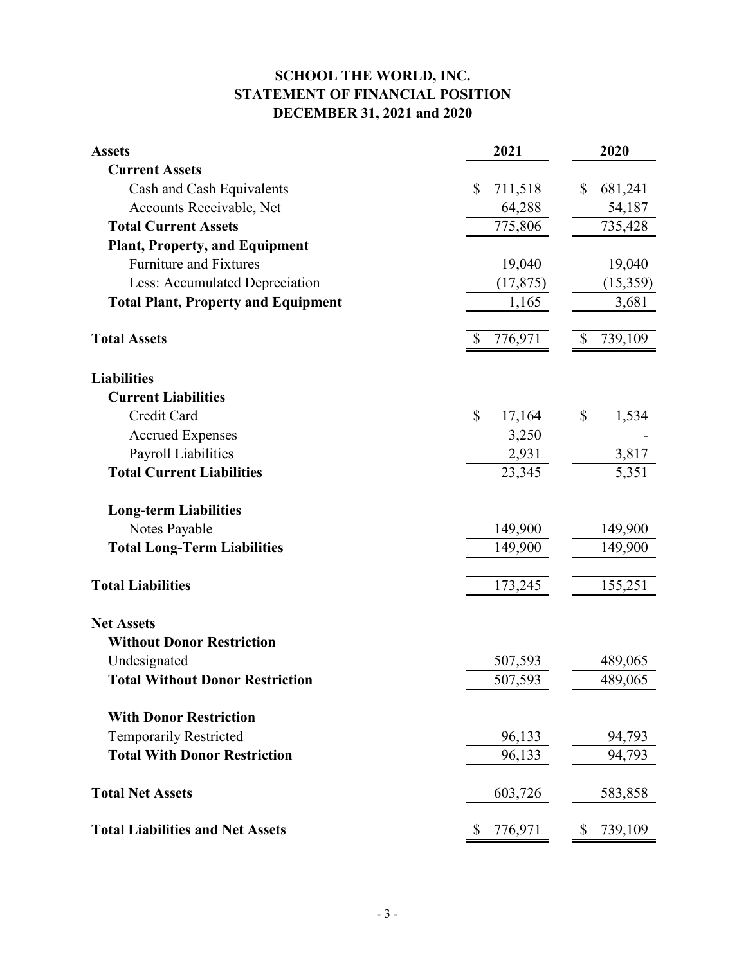## **SCHOOL THE WORLD, INC. STATEMENT OF FINANCIAL POSITION DECEMBER 31, 2021 and 2020**

| <b>Assets</b>                              | 2021          | 2020          |
|--------------------------------------------|---------------|---------------|
| <b>Current Assets</b>                      |               |               |
| Cash and Cash Equivalents                  | \$<br>711,518 | \$<br>681,241 |
| Accounts Receivable, Net                   | 64,288        | 54,187        |
| <b>Total Current Assets</b>                | 775,806       | 735,428       |
| <b>Plant, Property, and Equipment</b>      |               |               |
| <b>Furniture and Fixtures</b>              | 19,040        | 19,040        |
| Less: Accumulated Depreciation             | (17, 875)     | (15,359)      |
| <b>Total Plant, Property and Equipment</b> | 1,165         | 3,681         |
| <b>Total Assets</b>                        | 776,971<br>\$ | 739,109<br>\$ |
| <b>Liabilities</b>                         |               |               |
| <b>Current Liabilities</b>                 |               |               |
| Credit Card                                | \$<br>17,164  | \$<br>1,534   |
| <b>Accrued Expenses</b>                    | 3,250         |               |
| <b>Payroll Liabilities</b>                 | 2,931         | 3,817         |
| <b>Total Current Liabilities</b>           | 23,345        | 5,351         |
| <b>Long-term Liabilities</b>               |               |               |
| Notes Payable                              | 149,900       | 149,900       |
| <b>Total Long-Term Liabilities</b>         | 149,900       | 149,900       |
| <b>Total Liabilities</b>                   | 173,245       | 155,251       |
| <b>Net Assets</b>                          |               |               |
| <b>Without Donor Restriction</b>           |               |               |
| Undesignated                               | 507,593       | 489,065       |
| <b>Total Without Donor Restriction</b>     | 507,593       | 489,065       |
| <b>With Donor Restriction</b>              |               |               |
| <b>Temporarily Restricted</b>              | 96,133        | 94,793        |
| <b>Total With Donor Restriction</b>        | 96,133        | 94,793        |
| <b>Total Net Assets</b>                    | 603,726       | 583,858       |
| <b>Total Liabilities and Net Assets</b>    | 776,971<br>\$ | 739,109<br>\$ |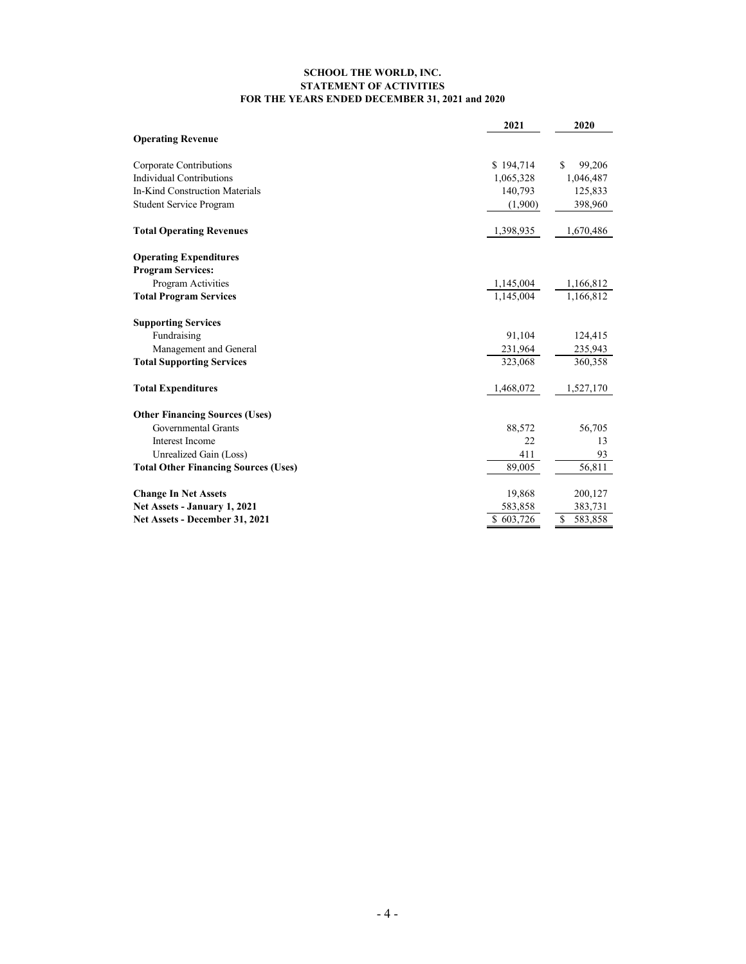#### **SCHOOL THE WORLD, INC. STATEMENT OF ACTIVITIES FOR THE YEARS ENDED DECEMBER 31, 2021 and 2020**

|                                             | 2021      | 2020          |
|---------------------------------------------|-----------|---------------|
| <b>Operating Revenue</b>                    |           |               |
| Corporate Contributions                     | \$194,714 | \$<br>99,206  |
| <b>Individual Contributions</b>             | 1,065,328 | 1,046,487     |
| In-Kind Construction Materials              | 140,793   | 125,833       |
| Student Service Program                     | (1,900)   | 398,960       |
| <b>Total Operating Revenues</b>             | 1,398,935 | 1,670,486     |
| <b>Operating Expenditures</b>               |           |               |
| <b>Program Services:</b>                    |           |               |
| Program Activities                          | 1,145,004 | 1,166,812     |
| <b>Total Program Services</b>               | 1,145,004 | 1,166,812     |
| <b>Supporting Services</b>                  |           |               |
| Fundraising                                 | 91,104    | 124,415       |
| Management and General                      | 231,964   | 235,943       |
| <b>Total Supporting Services</b>            | 323,068   | 360,358       |
| <b>Total Expenditures</b>                   | 1,468,072 | 1,527,170     |
| <b>Other Financing Sources (Uses)</b>       |           |               |
| Governmental Grants                         | 88,572    | 56,705        |
| Interest Income                             | 22        | 13            |
| Unrealized Gain (Loss)                      | 411       | 93            |
| <b>Total Other Financing Sources (Uses)</b> | 89,005    | 56,811        |
| <b>Change In Net Assets</b>                 | 19,868    | 200,127       |
| Net Assets - January 1, 2021                | 583,858   | 383,731       |
| Net Assets - December 31, 2021              | \$603,726 | \$<br>583,858 |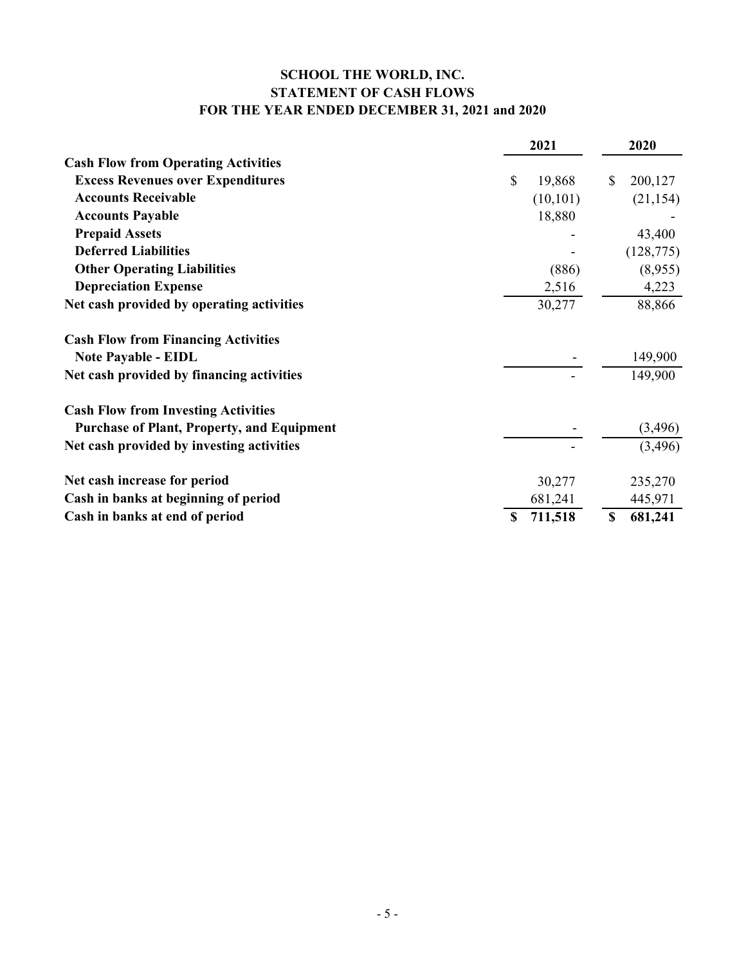### **FOR THE YEAR ENDED DECEMBER 31, 2021 and 2020 STATEMENT OF CASH FLOWS SCHOOL THE WORLD, INC.**

|                                                   | 2021          | 2020          |
|---------------------------------------------------|---------------|---------------|
| <b>Cash Flow from Operating Activities</b>        |               |               |
| <b>Excess Revenues over Expenditures</b>          | \$<br>19,868  | \$<br>200,127 |
| <b>Accounts Receivable</b>                        | (10, 101)     | (21, 154)     |
| <b>Accounts Payable</b>                           | 18,880        |               |
| <b>Prepaid Assets</b>                             |               | 43,400        |
| <b>Deferred Liabilities</b>                       |               | (128, 775)    |
| <b>Other Operating Liabilities</b>                | (886)         | (8,955)       |
| <b>Depreciation Expense</b>                       | 2,516         | 4,223         |
| Net cash provided by operating activities         | 30,277        | 88,866        |
| <b>Cash Flow from Financing Activities</b>        |               |               |
| <b>Note Payable - EIDL</b>                        |               | 149,900       |
| Net cash provided by financing activities         |               | 149,900       |
| <b>Cash Flow from Investing Activities</b>        |               |               |
| <b>Purchase of Plant, Property, and Equipment</b> |               | (3, 496)      |
| Net cash provided by investing activities         |               | (3,496)       |
| Net cash increase for period                      | 30,277        | 235,270       |
| Cash in banks at beginning of period              | 681,241       | 445,971       |
| Cash in banks at end of period                    | 711,518<br>\$ | \$<br>681,241 |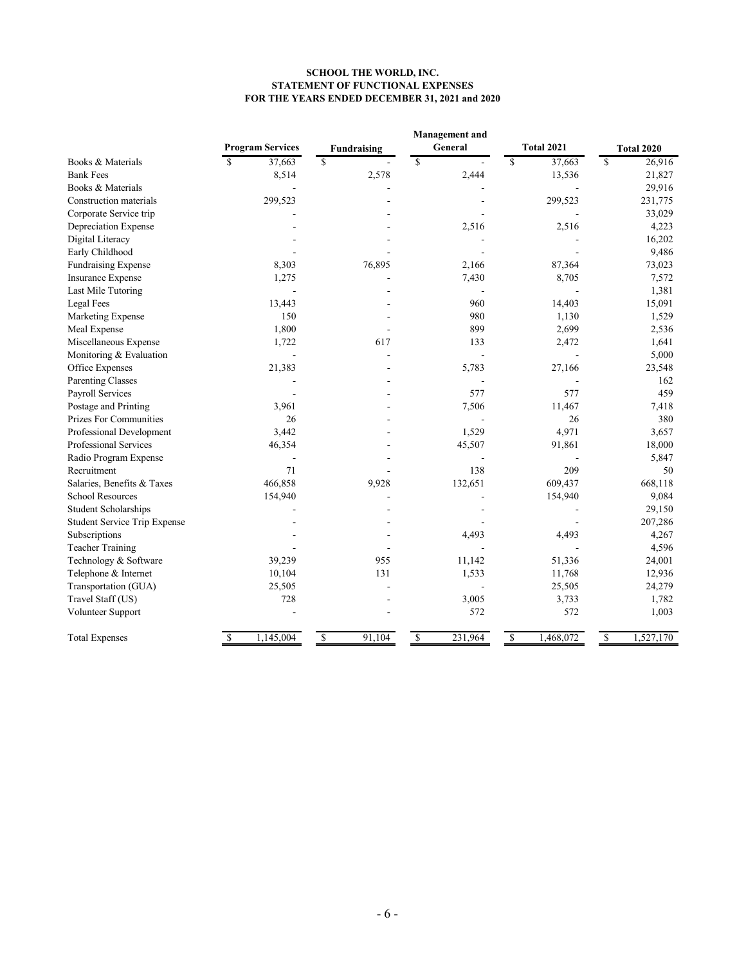#### **SCHOOL THE WORLD, INC. STATEMENT OF FUNCTIONAL EXPENSES FOR THE YEARS ENDED DECEMBER 31, 2021 and 2020**

| <b>Program Services</b><br>\$<br>37,663<br>8,514<br>299,523<br>8,303<br>1,275 | <b>Fundraising</b><br>$\mathbf S$<br>2,578<br>76,895 | General<br>\$<br>2,444<br>2,516<br>2,166<br>7,430 | <b>Total 2021</b><br>$\mathbf S$<br>37,663<br>13,536<br>299,523<br>2,516<br>87,364 | <b>Total 2020</b><br>$\mathbf S$<br>26,916<br>21,827<br>29,916<br>231,775<br>33,029<br>4,223<br>16,202<br>9,486<br>73,023 |
|-------------------------------------------------------------------------------|------------------------------------------------------|---------------------------------------------------|------------------------------------------------------------------------------------|---------------------------------------------------------------------------------------------------------------------------|
|                                                                               |                                                      |                                                   |                                                                                    |                                                                                                                           |
|                                                                               |                                                      |                                                   |                                                                                    |                                                                                                                           |
|                                                                               |                                                      |                                                   |                                                                                    |                                                                                                                           |
|                                                                               |                                                      |                                                   |                                                                                    |                                                                                                                           |
|                                                                               |                                                      |                                                   |                                                                                    |                                                                                                                           |
|                                                                               |                                                      |                                                   |                                                                                    |                                                                                                                           |
|                                                                               |                                                      |                                                   |                                                                                    |                                                                                                                           |
|                                                                               |                                                      |                                                   |                                                                                    |                                                                                                                           |
|                                                                               |                                                      |                                                   |                                                                                    |                                                                                                                           |
|                                                                               |                                                      |                                                   |                                                                                    |                                                                                                                           |
|                                                                               |                                                      |                                                   | 8,705                                                                              | 7,572                                                                                                                     |
|                                                                               |                                                      |                                                   |                                                                                    | 1,381                                                                                                                     |
|                                                                               |                                                      | 960                                               | 14,403                                                                             | 15,091                                                                                                                    |
| 150                                                                           |                                                      | 980                                               | 1,130                                                                              | 1,529                                                                                                                     |
| 1,800                                                                         |                                                      | 899                                               | 2,699                                                                              | 2,536                                                                                                                     |
| 1,722                                                                         | 617                                                  | 133                                               | 2,472                                                                              | 1,641                                                                                                                     |
|                                                                               |                                                      |                                                   |                                                                                    | 5,000                                                                                                                     |
| 21,383                                                                        |                                                      | 5,783                                             | 27,166                                                                             | 23,548                                                                                                                    |
|                                                                               |                                                      |                                                   |                                                                                    | 162                                                                                                                       |
|                                                                               |                                                      | 577                                               | 577                                                                                | 459                                                                                                                       |
| 3,961                                                                         |                                                      | 7,506                                             | 11,467                                                                             | 7,418                                                                                                                     |
| 26                                                                            |                                                      |                                                   | 26                                                                                 | 380                                                                                                                       |
| 3,442                                                                         |                                                      | 1,529                                             | 4,971                                                                              | 3,657                                                                                                                     |
| 46,354                                                                        |                                                      | 45,507                                            | 91,861                                                                             | 18,000                                                                                                                    |
|                                                                               |                                                      |                                                   |                                                                                    | 5,847                                                                                                                     |
| 71                                                                            |                                                      | 138                                               | 209                                                                                | 50                                                                                                                        |
| 466,858                                                                       | 9,928                                                | 132,651                                           | 609,437                                                                            | 668,118                                                                                                                   |
| 154,940                                                                       |                                                      |                                                   | 154,940                                                                            | 9,084                                                                                                                     |
|                                                                               |                                                      |                                                   |                                                                                    | 29,150                                                                                                                    |
|                                                                               |                                                      |                                                   |                                                                                    | 207,286                                                                                                                   |
|                                                                               |                                                      | 4,493                                             | 4,493                                                                              | 4,267                                                                                                                     |
|                                                                               |                                                      |                                                   |                                                                                    | 4,596                                                                                                                     |
| 39,239                                                                        | 955                                                  | 11,142                                            | 51,336                                                                             | 24,001                                                                                                                    |
| 10,104                                                                        | 131                                                  | 1,533                                             | 11,768                                                                             | 12,936                                                                                                                    |
| 25,505                                                                        |                                                      |                                                   | 25,505                                                                             | 24,279                                                                                                                    |
| 728                                                                           |                                                      | 3,005                                             | 3,733                                                                              | 1,782                                                                                                                     |
|                                                                               |                                                      | 572                                               | 572                                                                                | 1,003                                                                                                                     |
| 1,145,004<br><sup>\$</sup>                                                    | \$<br>$\overline{91,104}$                            | \$<br>231,964                                     | \$<br>1,468,072                                                                    | \$<br>1,527,170                                                                                                           |
|                                                                               | 13,443                                               |                                                   |                                                                                    |                                                                                                                           |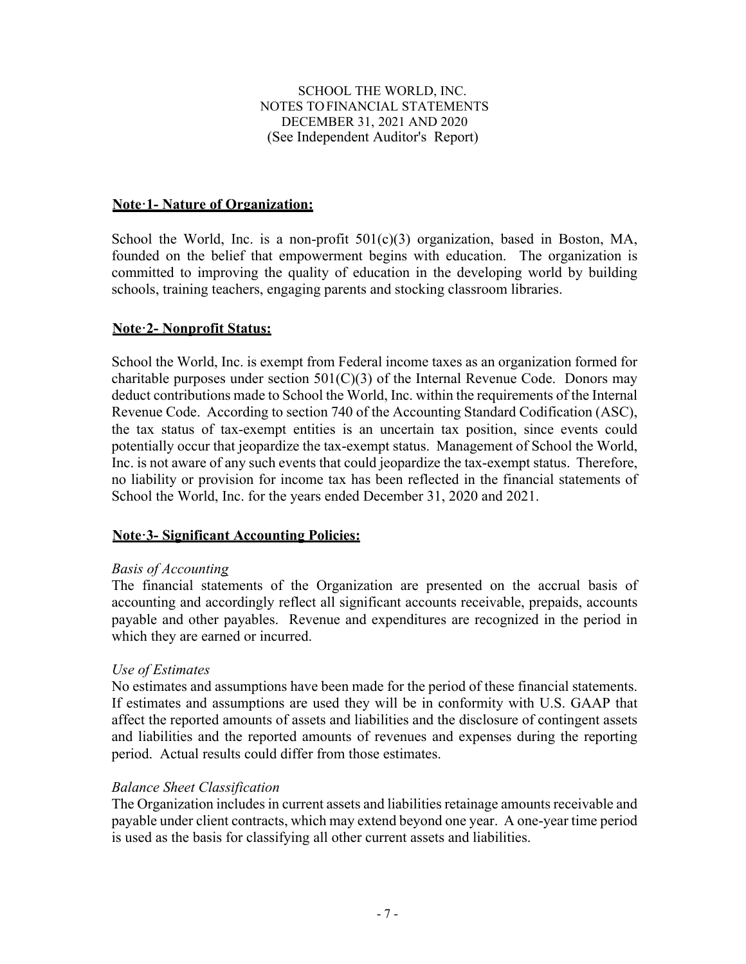#### SCHOOL THE WORLD, INC. NOTES TO FINANCIAL STATEMENTS DECEMBER 31, 2021 AND 2020 (See Independent Auditor's Report)

### **Note·1- Nature of Organization:**

School the World, Inc. is a non-profit  $501(c)(3)$  organization, based in Boston, MA, founded on the belief that empowerment begins with education. The organization is committed to improving the quality of education in the developing world by building schools, training teachers, engaging parents and stocking classroom libraries.

#### **Note·2- Nonprofit Status:**

School the World, Inc. is exempt from Federal income taxes as an organization formed for charitable purposes under section  $501(C)(3)$  of the Internal Revenue Code. Donors may deduct contributions made to School the World, Inc. within the requirements of the Internal Revenue Code. According to section 740 of the Accounting Standard Codification (ASC), the tax status of tax-exempt entities is an uncertain tax position, since events could potentially occur that jeopardize the tax-exempt status. Management of School the World, Inc. is not aware of any such events that could jeopardize the tax-exempt status. Therefore, no liability or provision for income tax has been reflected in the financial statements of School the World, Inc. for the years ended December 31, 2020 and 2021.

#### **Note·3- Significant Accounting Policies:**

#### *Basis of Accounting*

The financial statements of the Organization are presented on the accrual basis of accounting and accordingly reflect all significant accounts receivable, prepaids, accounts payable and other payables. Revenue and expenditures are recognized in the period in which they are earned or incurred.

#### *Use of Estimates*

No estimates and assumptions have been made for the period of these financial statements. If estimates and assumptions are used they will be in conformity with U.S. GAAP that affect the reported amounts of assets and liabilities and the disclosure of contingent assets and liabilities and the reported amounts of revenues and expenses during the reporting period. Actual results could differ from those estimates.

#### *Balance Sheet Classification*

The Organization includes in current assets and liabilities retainage amounts receivable and payable under client contracts, which may extend beyond one year. A one-year time period is used as the basis for classifying all other current assets and liabilities.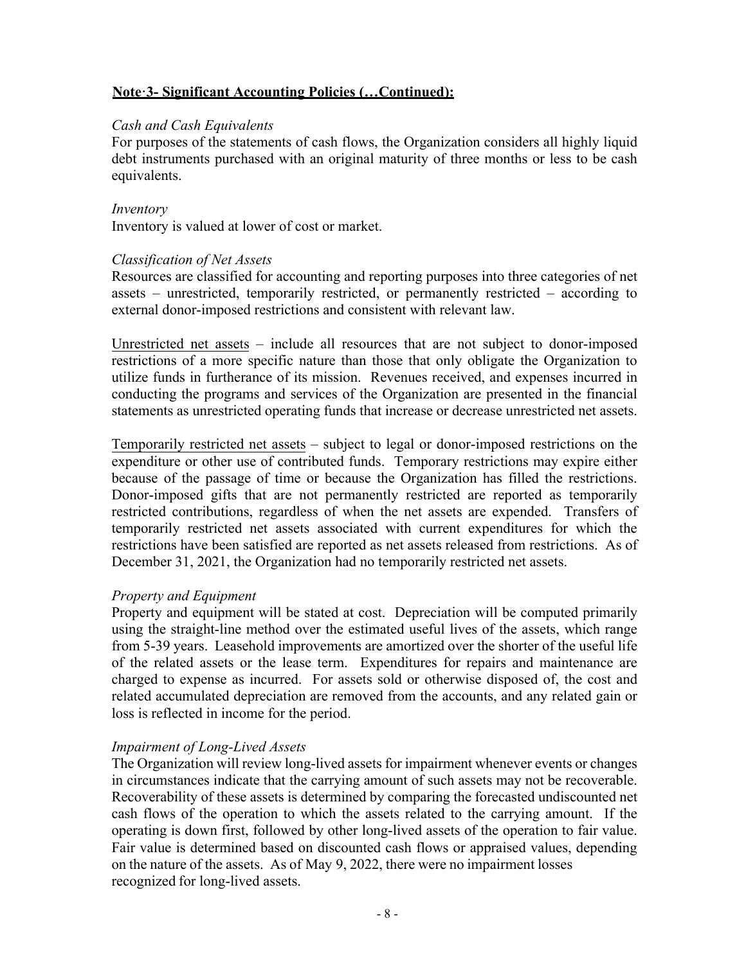#### **Note·3- Significant Accounting Policies (…Continued):**

#### *Cash and Cash Equivalents*

For purposes of the statements of cash flows, the Organization considers all highly liquid debt instruments purchased with an original maturity of three months or less to be cash equivalents.

#### *Inventory*

Inventory is valued at lower of cost or market.

#### *Classification of Net Assets*

Resources are classified for accounting and reporting purposes into three categories of net assets – unrestricted, temporarily restricted, or permanently restricted – according to external donor-imposed restrictions and consistent with relevant law.

Unrestricted net assets – include all resources that are not subject to donor-imposed restrictions of a more specific nature than those that only obligate the Organization to utilize funds in furtherance of its mission. Revenues received, and expenses incurred in conducting the programs and services of the Organization are presented in the financial statements as unrestricted operating funds that increase or decrease unrestricted net assets.

Temporarily restricted net assets – subject to legal or donor-imposed restrictions on the expenditure or other use of contributed funds. Temporary restrictions may expire either because of the passage of time or because the Organization has filled the restrictions. Donor-imposed gifts that are not permanently restricted are reported as temporarily restricted contributions, regardless of when the net assets are expended. Transfers of temporarily restricted net assets associated with current expenditures for which the restrictions have been satisfied are reported as net assets released from restrictions. As of December 31, 2021, the Organization had no temporarily restricted net assets.

#### *Property and Equipment*

Property and equipment will be stated at cost. Depreciation will be computed primarily using the straight-line method over the estimated useful lives of the assets, which range from 5-39 years. Leasehold improvements are amortized over the shorter of the useful life of the related assets or the lease term. Expenditures for repairs and maintenance are charged to expense as incurred. For assets sold or otherwise disposed of, the cost and related accumulated depreciation are removed from the accounts, and any related gain or loss is reflected in income for the period.

### *Impairment of Long-Lived Assets*

The Organization will review long-lived assets for impairment whenever events or changes in circumstances indicate that the carrying amount of such assets may not be recoverable. Recoverability of these assets is determined by comparing the forecasted undiscounted net cash flows of the operation to which the assets related to the carrying amount. If the operating is down first, followed by other long-lived assets of the operation to fair value. Fair value is determined based on discounted cash flows or appraised values, depending on the nature of the assets. As of May 9, 2022, there were no impairment losses recognized for long-lived assets.